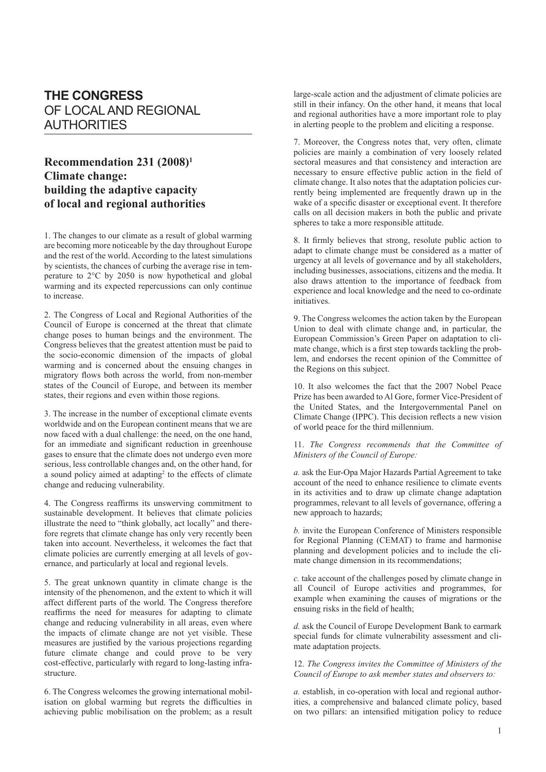# **THE CONGRESS** OF LOCAL AND REGIONAL AUTHORITIES

## **Recommendation 231 (2008)1 Climate change: building the adaptive capacity of local and regional authorities**

1. The changes to our climate as a result of global warming are becoming more noticeable by the day throughout Europe and the rest of the world. According to the latest simulations by scientists, the chances of curbing the average rise in temperature to 2°C by 2050 is now hypothetical and global warming and its expected repercussions can only continue to increase.

2. The Congress of Local and Regional Authorities of the Council of Europe is concerned at the threat that climate change poses to human beings and the environment. The Congress believes that the greatest attention must be paid to the socio-economic dimension of the impacts of global warming and is concerned about the ensuing changes in migratory flows both across the world, from non-member states of the Council of Europe, and between its member states, their regions and even within those regions.

3. The increase in the number of exceptional climate events worldwide and on the European continent means that we are now faced with a dual challenge: the need, on the one hand, for an immediate and significant reduction in greenhouse gases to ensure that the climate does not undergo even more serious, less controllable changes and, on the other hand, for a sound policy aimed at adapting<sup>2</sup> to the effects of climate change and reducing vulnerability.

4. The Congress reaffirms its unswerving commitment to sustainable development. It believes that climate policies illustrate the need to "think globally, act locally" and therefore regrets that climate change has only very recently been taken into account. Nevertheless, it welcomes the fact that climate policies are currently emerging at all levels of governance, and particularly at local and regional levels.

5. The great unknown quantity in climate change is the intensity of the phenomenon, and the extent to which it will affect different parts of the world. The Congress therefore reaffirms the need for measures for adapting to climate change and reducing vulnerability in all areas, even where the impacts of climate change are not yet visible. These measures are justified by the various projections regarding future climate change and could prove to be very cost-effective, particularly with regard to long-lasting infrastructure.

6. The Congress welcomes the growing international mobilisation on global warming but regrets the difficulties in achieving public mobilisation on the problem; as a result large-scale action and the adjustment of climate policies are still in their infancy. On the other hand, it means that local and regional authorities have a more important role to play in alerting people to the problem and eliciting a response.

7. Moreover, the Congress notes that, very often, climate policies are mainly a combination of very loosely related sectoral measures and that consistency and interaction are necessary to ensure effective public action in the field of climate change. It also notes that the adaptation policies currently being implemented are frequently drawn up in the wake of a specific disaster or exceptional event. It therefore calls on all decision makers in both the public and private spheres to take a more responsible attitude.

8. It firmly believes that strong, resolute public action to adapt to climate change must be considered as a matter of urgency at all levels of governance and by all stakeholders, including businesses, associations, citizens and the media. It also draws attention to the importance of feedback from experience and local knowledge and the need to co-ordinate initiatives.

9. The Congress welcomes the action taken by the European Union to deal with climate change and, in particular, the European Commission's Green Paper on adaptation to climate change, which is a first step towards tackling the problem, and endorses the recent opinion of the Committee of the Regions on this subject.

10. It also welcomes the fact that the 2007 Nobel Peace Prize has been awarded to Al Gore, former Vice-President of the United States, and the Intergovernmental Panel on Climate Change (IPPC). This decision reflects a new vision of world peace for the third millennium.

#### 11. *The Congress recommends that the Committee of Ministers of the Council of Europe:*

*a.* ask the Eur-Opa Major Hazards Partial Agreement to take account of the need to enhance resilience to climate events in its activities and to draw up climate change adaptation programmes, relevant to all levels of governance, offering a new approach to hazards;

*b.* invite the European Conference of Ministers responsible for Regional Planning (CEMAT) to frame and harmonise planning and development policies and to include the climate change dimension in its recommendations;

*c.* take account of the challenges posed by climate change in all Council of Europe activities and programmes, for example when examining the causes of migrations or the ensuing risks in the field of health;

*d.* ask the Council of Europe Development Bank to earmark special funds for climate vulnerability assessment and climate adaptation projects.

### 12. *The Congress invites the Committee of Ministers of the Council of Europe to ask member states and observers to:*

*a.* establish, in co-operation with local and regional authorities, a comprehensive and balanced climate policy, based on two pillars: an intensified mitigation policy to reduce